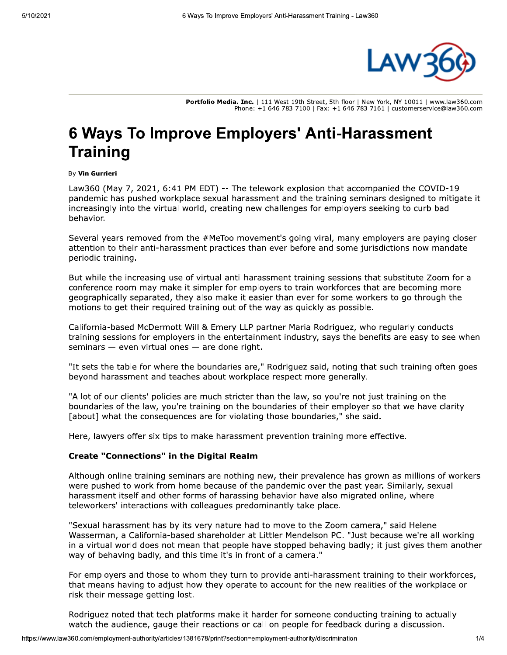

Portfolio Media. Inc. | 111 West 19th Street, 5th floor | New York, NY 10011 | www.law360.com Phone: +1 646 783 7100 | Fax: +1 646 783 7161 | customerservice@law360.com

# 6 Ways To Improve Employers' Anti-Harassment **Training**

#### By Vin Gurrieri

Law360 (May 7, 2021, 6:41 PM EDT) -- The telework explosion that accompanied the COVID-19 pandemic has pushed workplace sexual harassment and the training seminars designed to mitigate it increasingly into the virtual world, creating new challenges for employers seeking to curb bad behavior.

Several years removed from the #MeToo movement's going viral, many employers are paying closer attention to their anti-harassment practices than ever before and some jurisdictions now mandate periodic training.

But while the increasing use of virtual anti-harassment training sessions that substitute Zoom for a conference room may make it simpler for employers to train workforces that are becoming more geographically separated, they also make it easier than ever for some workers to go through the motions to get their required training out of the way as quickly as possible.

California-based McDermott Will & Emery LLP partner Maria Rodriguez, who regularly conducts training sessions for employers in the entertainment industry, says the benefits are easy to see when seminars  $-$  even virtual ones  $-$  are done right.

"It sets the table for where the boundaries are," Rodriguez said, noting that such training often goes beyond harassment and teaches about workplace respect more generally.

"A lot of our clients' policies are much stricter than the law, so you're not just training on the boundaries of the law, you're training on the boundaries of their employer so that we have clarity [about] what the consequences are for violating those boundaries," she said.

Here, lawyers offer six tips to make harassment prevention training more effective.

## **Create "Connections" in the Digital Realm**

Although online training seminars are nothing new, their prevalence has grown as millions of workers were pushed to work from home because of the pandemic over the past year. Similarly, sexual harassment itself and other forms of harassing behavior have also migrated online, where teleworkers' interactions with colleagues predominantly take place.

"Sexual harassment has by its very nature had to move to the Zoom camera," said Helene Wasserman, a California-based shareholder at Littler Mendelson PC. "Just because we're all working in a virtual world does not mean that people have stopped behaving badly; it just gives them another way of behaving badly, and this time it's in front of a camera."

For employers and those to whom they turn to provide anti-harassment training to their workforces, that means having to adjust how they operate to account for the new realities of the workplace or risk their message getting lost.

Rodriguez noted that tech platforms make it harder for someone conducting training to actually watch the audience, gauge their reactions or call on people for feedback during a discussion.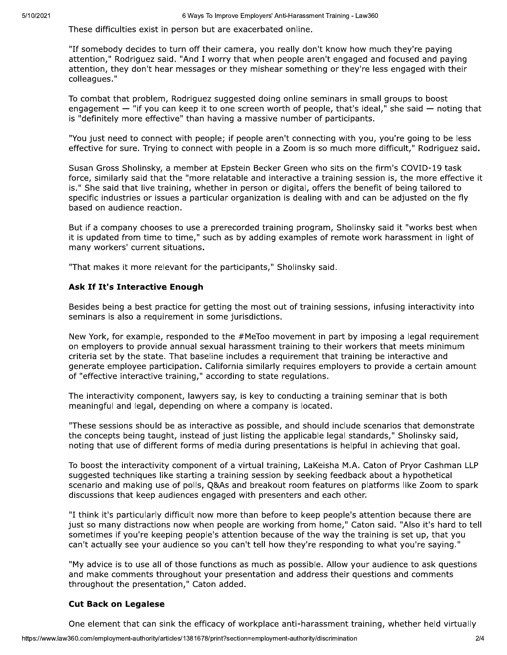These difficulties exist in person but are exacerbated online.

"If somebody decides to turn off their camera, you really don't know how much they're paying attention," Rodriguez said. "And I worry that when people aren't engaged and focused and paying attention, they don't hear messages or they mishear something or they're less engaged with their colleagues."

To combat that problem, Rodriguez suggested doing online seminars in small groups to boost engagement - "if you can keep it to one screen worth of people, that's ideal," she said - noting that is "definitely more effective" than having a massive number of participants.

"You just need to connect with people; if people aren't connecting with you, you're going to be less effective for sure. Trying to connect with people in a Zoom is so much more difficult," Rodriquez said.

Susan Gross Sholinsky, a member at Epstein Becker Green who sits on the firm's COVID-19 task force, similarly said that the "more relatable and interactive a training session is, the more effective it is." She said that live training, whether in person or digital, offers the benefit of being tailored to specific industries or issues a particular organization is dealing with and can be adjusted on the fly based on audience reaction.

But if a company chooses to use a prerecorded training program, Sholinsky said it "works best when it is updated from time to time," such as by adding examples of remote work harassment in light of many workers' current situations.

"That makes it more relevant for the participants," Sholinsky said.

# **Ask If It's Interactive Enough**

Besides being a best practice for getting the most out of training sessions, infusing interactivity into seminars is also a requirement in some jurisdictions.

New York, for example, responded to the #MeToo movement in part by imposing a legal requirement on employers to provide annual sexual harassment training to their workers that meets minimum criteria set by the state. That baseline includes a requirement that training be interactive and generate employee participation. California similarly requires employers to provide a certain amount of "effective interactive training," according to state regulations.

The interactivity component, lawyers say, is key to conducting a training seminar that is both meaningful and legal, depending on where a company is located.

"These sessions should be as interactive as possible, and should include scenarios that demonstrate the concepts being taught, instead of just listing the applicable legal standards," Sholinsky said, noting that use of different forms of media during presentations is helpful in achieving that goal.

To boost the interactivity component of a virtual training, LaKeisha M.A. Caton of Pryor Cashman LLP suggested techniques like starting a training session by seeking feedback about a hypothetical scenario and making use of polls, Q&As and breakout room features on platforms like Zoom to spark discussions that keep audiences engaged with presenters and each other.

"I think it's particularly difficult now more than before to keep people's attention because there are just so many distractions now when people are working from home," Caton said. "Also it's hard to tell sometimes if you're keeping people's attention because of the way the training is set up, that you can't actually see your audience so you can't tell how they're responding to what you're saying."

"My advice is to use all of those functions as much as possible. Allow your audience to ask questions and make comments throughout your presentation and address their questions and comments throughout the presentation," Caton added.

# **Cut Back on Legalese**

One element that can sink the efficacy of workplace anti-harassment training, whether held virtually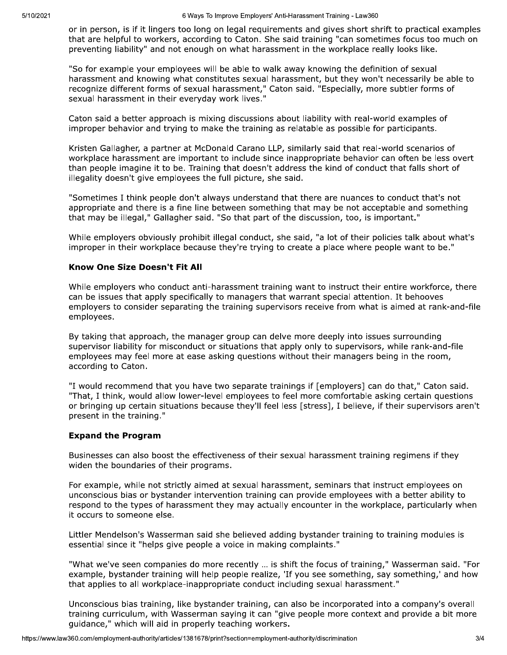or in person, is if it lingers too long on legal requirements and gives short shrift to practical examples that are helpful to workers, according to Caton. She said training "can sometimes focus too much on preventing liability" and not enough on what harassment in the workplace really looks like.

"So for example your employees will be able to walk away knowing the definition of sexual harassment and knowing what constitutes sexual harassment, but they won't necessarily be able to recognize different forms of sexual harassment," Caton said. "Especially, more subtler forms of sexual harassment in their everyday work lives."

Caton said a better approach is mixing discussions about liability with real-world examples of improper behavior and trying to make the training as relatable as possible for participants.

Kristen Gallagher, a partner at McDonald Carano LLP, similarly said that real-world scenarios of workplace harassment are important to include since inappropriate behavior can often be less overt than people imagine it to be. Training that doesn't address the kind of conduct that falls short of illegality doesn't give employees the full picture, she said.

"Sometimes I think people don't always understand that there are nuances to conduct that's not appropriate and there is a fine line between something that may be not acceptable and something that may be illegal," Gallagher said. "So that part of the discussion, too, is important."

While employers obviously prohibit illegal conduct, she said, "a lot of their policies talk about what's improper in their workplace because they're trying to create a place where people want to be."

#### **Know One Size Doesn't Fit All**

While employers who conduct anti-harassment training want to instruct their entire workforce, there can be issues that apply specifically to managers that warrant special attention. It behooves employers to consider separating the training supervisors receive from what is aimed at rank-and-file employees.

By taking that approach, the manager group can delve more deeply into issues surrounding supervisor liability for misconduct or situations that apply only to supervisors, while rank-and-file employees may feel more at ease asking questions without their managers being in the room, according to Caton.

"I would recommend that you have two separate trainings if [employers] can do that," Caton said. "That, I think, would allow lower-level employees to feel more comfortable asking certain questions or bringing up certain situations because they'll feel less [stress], I believe, if their supervisors aren't present in the training."

### **Expand the Program**

Businesses can also boost the effectiveness of their sexual harassment training regimens if they widen the boundaries of their programs.

For example, while not strictly aimed at sexual harassment, seminars that instruct employees on unconscious bias or bystander intervention training can provide employees with a better ability to respond to the types of harassment they may actually encounter in the workplace, particularly when it occurs to someone else.

Littler Mendelson's Wasserman said she believed adding bystander training to training modules is essential since it "helps give people a voice in making complaints."

"What we've seen companies do more recently ... is shift the focus of training," Wasserman said. "For example, bystander training will help people realize, 'If you see something, say something,' and how that applies to all workplace-inappropriate conduct including sexual harassment."

Unconscious bias training, like bystander training, can also be incorporated into a company's overall training curriculum, with Wasserman saying it can "give people more context and provide a bit more guidance," which will aid in properly teaching workers.